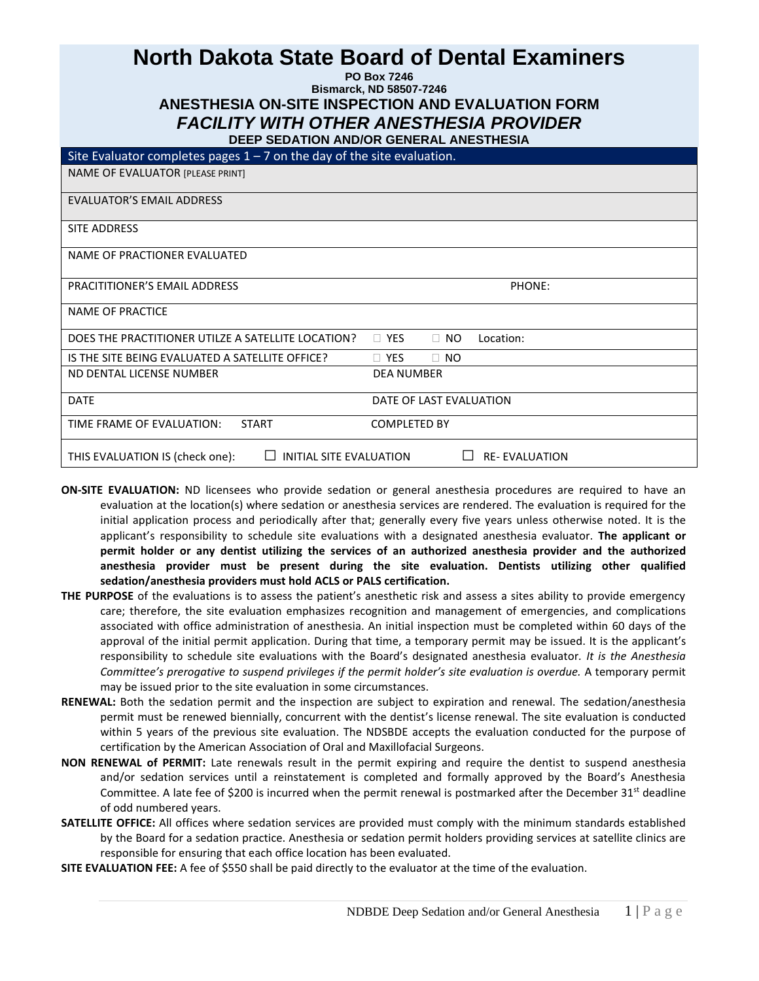# **North Dakota State Board of Dental Examiners**

**PO Box 7246**

## **Bismarck, ND 58507-7246 ANESTHESIA ON-SITE INSPECTION AND EVALUATION FORM** *FACILITY WITH OTHER ANESTHESIA PROVIDER*

|--|

| Site Evaluator completes pages $1 - 7$ on the day of the site evaluation. |                                      |  |
|---------------------------------------------------------------------------|--------------------------------------|--|
| NAME OF EVALUATOR [PLEASE PRINT]                                          |                                      |  |
| <b>EVALUATOR'S EMAIL ADDRESS</b>                                          |                                      |  |
| SITE ADDRESS                                                              |                                      |  |
| NAME OF PRACTIONER EVALUATED                                              |                                      |  |
| <b>PRACITITIONER'S EMAIL ADDRESS</b>                                      | PHONE:                               |  |
| NAME OF PRACTICE                                                          |                                      |  |
| DOES THE PRACTITIONER UTILZE A SATELLITE LOCATION?                        | $\Box$ YES<br>$\Box$ NO<br>Location: |  |
| IS THE SITE BEING EVALUATED A SATELLITE OFFICE?                           | $\Box$ YES<br>$\Box$ NO              |  |
| ND DENTAL LICENSE NUMBER                                                  | <b>DEA NUMBER</b>                    |  |
| <b>DATE</b>                                                               | DATE OF LAST EVALUATION              |  |
| TIME FRAME OF EVALUATION:<br><b>START</b>                                 | <b>COMPLETED BY</b>                  |  |
| THIS EVALUATION IS (check one):<br>INITIAL SITE EVALUATION                | <b>RE-EVALUATION</b>                 |  |

- **ON-SITE EVALUATION:** ND licensees who provide sedation or general anesthesia procedures are required to have an evaluation at the location(s) where sedation or anesthesia services are rendered. The evaluation is required for the initial application process and periodically after that; generally every five years unless otherwise noted. It is the applicant's responsibility to schedule site evaluations with a designated anesthesia evaluator. **The applicant or permit holder or any dentist utilizing the services of an authorized anesthesia provider and the authorized anesthesia provider must be present during the site evaluation. Dentists utilizing other qualified sedation/anesthesia providers must hold ACLS or PALS certification.**
- **THE PURPOSE** of the evaluations is to assess the patient's anesthetic risk and assess a sites ability to provide emergency care; therefore, the site evaluation emphasizes recognition and management of emergencies, and complications associated with office administration of anesthesia. An initial inspection must be completed within 60 days of the approval of the initial permit application. During that time, a temporary permit may be issued. It is the applicant's responsibility to schedule site evaluations with the Board's designated anesthesia evaluator*. It is the Anesthesia Committee's prerogative to suspend privileges if the permit holder's site evaluation is overdue.* A temporary permit may be issued prior to the site evaluation in some circumstances.
- **RENEWAL:** Both the sedation permit and the inspection are subject to expiration and renewal. The sedation/anesthesia permit must be renewed biennially, concurrent with the dentist's license renewal. The site evaluation is conducted within 5 years of the previous site evaluation. The NDSBDE accepts the evaluation conducted for the purpose of certification by the American Association of Oral and Maxillofacial Surgeons.
- **NON RENEWAL of PERMIT:** Late renewals result in the permit expiring and require the dentist to suspend anesthesia and/or sedation services until a reinstatement is completed and formally approved by the Board's Anesthesia Committee. A late fee of \$200 is incurred when the permit renewal is postmarked after the December  $31^{st}$  deadline of odd numbered years.
- **SATELLITE OFFICE:** All offices where sedation services are provided must comply with the minimum standards established by the Board for a sedation practice. Anesthesia or sedation permit holders providing services at satellite clinics are responsible for ensuring that each office location has been evaluated.
- **SITE EVALUATION FEE:** A fee of \$550 shall be paid directly to the evaluator at the time of the evaluation.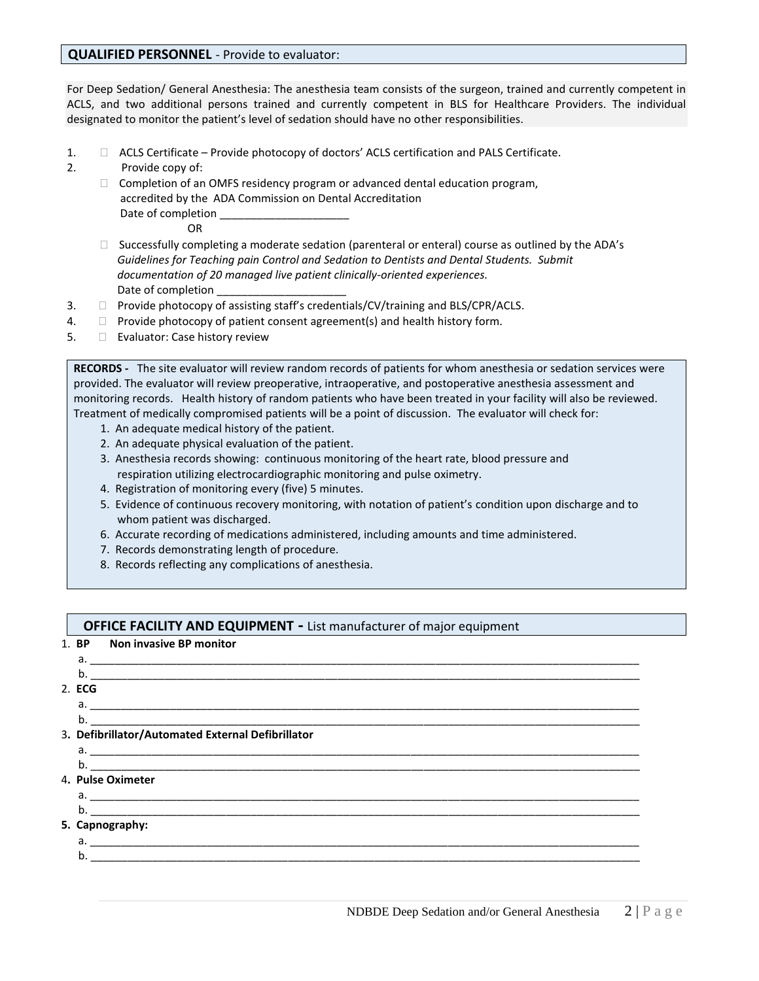#### **QUALIFIED PERSONNEL** - Provide to evaluator:

For Deep Sedation/ General Anesthesia: The anesthesia team consists of the surgeon, trained and currently competent in ACLS, and two additional persons trained and currently competent in BLS for Healthcare Providers. The individual designated to monitor the patient's level of sedation should have no other responsibilities.

- 1.  $\Box$  ACLS Certificate Provide photocopy of doctors' ACLS certification and PALS Certificate.
- 2. Provide copy of:
- □ Completion of an OMFS residency program or advanced dental education program, accredited by the ADA Commission on Dental Accreditation Date of completion **OR** Service Service Service Service Service Service Service Service Service Service Service Service Service Service

- $\Box$  Successfully completing a moderate sedation (parenteral or enteral) course as outlined by the ADA's *Guidelines for Teaching pain Control and Sedation to Dentists and Dental Students. Submit documentation of 20 managed live patient clinically-oriented experiences.* Date of completion
- $3.$  Provide photocopy of assisting staff's credentials/CV/training and BLS/CPR/ACLS.
- 4.  $\Box$  Provide photocopy of patient consent agreement(s) and health history form.
- 5. **Evaluator: Case history review**

**RECORDS -** The site evaluator will review random records of patients for whom anesthesia or sedation services were provided. The evaluator will review preoperative, intraoperative, and postoperative anesthesia assessment and monitoring records. Health history of random patients who have been treated in your facility will also be reviewed. Treatment of medically compromised patients will be a point of discussion. The evaluator will check for:

- 1. An adequate medical history of the patient.
- 2. An adequate physical evaluation of the patient.
- 3. Anesthesia records showing: continuous monitoring of the heart rate, blood pressure and respiration utilizing electrocardiographic monitoring and pulse oximetry.
- 4. Registration of monitoring every (five) 5 minutes.
- 5. Evidence of continuous recovery monitoring, with notation of patient's condition upon discharge and to whom patient was discharged.
- 6. Accurate recording of medications administered, including amounts and time administered.
- 7. Records demonstrating length of procedure.
- 8. Records reflecting any complications of anesthesia.

#### **OFFICE FACILITY AND EQUIPMENT - List manufacturer of major equipment**

| 1. BP<br><b>Non invasive BP monitor</b>           |  |
|---------------------------------------------------|--|
|                                                   |  |
|                                                   |  |
| 2. ECG                                            |  |
|                                                   |  |
|                                                   |  |
| 3. Defibrillator/Automated External Defibrillator |  |
|                                                   |  |
|                                                   |  |
| 4. Pulse Oximeter                                 |  |
|                                                   |  |
|                                                   |  |
| 5. Capnography:                                   |  |
| a. <u>_______________________________</u>         |  |
| b.                                                |  |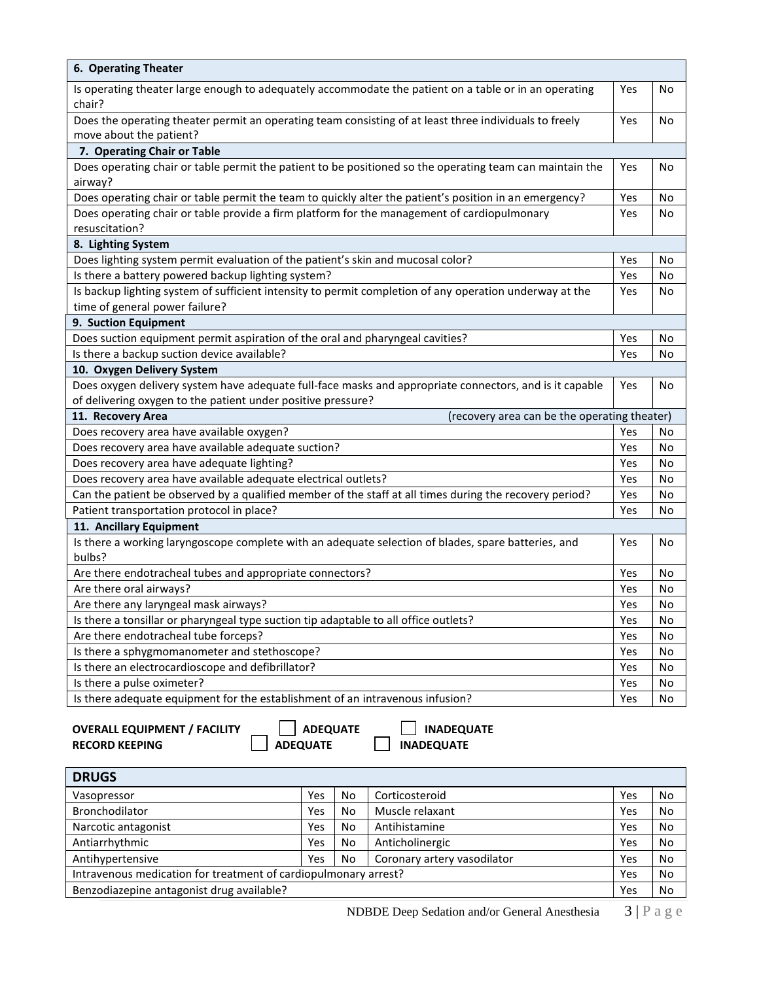| Is operating theater large enough to adequately accommodate the patient on a table or in an operating    | Yes |  |
|----------------------------------------------------------------------------------------------------------|-----|--|
| chair?                                                                                                   |     |  |
| Does the operating theater permit an operating team consisting of at least three individuals to freely   | Yes |  |
| move about the patient?                                                                                  |     |  |
| 7. Operating Chair or Table                                                                              |     |  |
| Does operating chair or table permit the patient to be positioned so the operating team can maintain the | Yes |  |
| airway?                                                                                                  |     |  |
| Does operating chair or table permit the team to quickly alter the patient's position in an emergency?   | Yes |  |
| Does operating chair or table provide a firm platform for the management of cardiopulmonary              | Yes |  |
| resuscitation?                                                                                           |     |  |
| 8. Lighting System                                                                                       |     |  |
| Does lighting system permit evaluation of the patient's skin and mucosal color?                          | Yes |  |
| Is there a battery powered backup lighting system?                                                       | Yes |  |
| Is backup lighting system of sufficient intensity to permit completion of any operation underway at the  | Yes |  |
| time of general power failure?                                                                           |     |  |
| 9. Suction Equipment                                                                                     |     |  |
| Does suction equipment permit aspiration of the oral and pharyngeal cavities?                            | Yes |  |
| Is there a backup suction device available?                                                              | Yes |  |
| 10. Oxygen Delivery System                                                                               |     |  |
| Does oxygen delivery system have adequate full-face masks and appropriate connectors, and is it capable  | Yes |  |
| of delivering oxygen to the patient under positive pressure?                                             |     |  |
| 11. Recovery Area<br>(recovery area can be the operating theater)                                        |     |  |
| Does recovery area have available oxygen?                                                                | Yes |  |
| Does recovery area have available adequate suction?                                                      | Yes |  |
| Does recovery area have adequate lighting?                                                               | Yes |  |
| Does recovery area have available adequate electrical outlets?                                           | Yes |  |
| Can the patient be observed by a qualified member of the staff at all times during the recovery period?  | Yes |  |
| Patient transportation protocol in place?                                                                | Yes |  |
| 11. Ancillary Equipment                                                                                  |     |  |
| Is there a working laryngoscope complete with an adequate selection of blades, spare batteries, and      | Yes |  |
| bulbs?                                                                                                   |     |  |
| Are there endotracheal tubes and appropriate connectors?                                                 | Yes |  |
| Are there oral airways?                                                                                  | Yes |  |
| Are there any laryngeal mask airways?                                                                    | Yes |  |
| Is there a tonsillar or pharyngeal type suction tip adaptable to all office outlets?                     | Yes |  |
| Are there endotracheal tube forceps?                                                                     | Yes |  |
| Is there a sphygmomanometer and stethoscope?                                                             | Yes |  |
| Is there an electrocardioscope and defibrillator?                                                        | Yes |  |
| Is there a pulse oximeter?                                                                               | Yes |  |
|                                                                                                          |     |  |

**OVERALL EQUIPMENT / FACILITY ADEQUATE ADEQUATE RECORD KEEPING ADEQUATE ADEQUATE** 

**READEQUATE** 

| <b>DRUGS</b>                                                    |     |    |                             |     |    |
|-----------------------------------------------------------------|-----|----|-----------------------------|-----|----|
| Vasopressor                                                     | Yes | No | Corticosteroid              | Yes | No |
| Bronchodilator                                                  | Yes | No | Muscle relaxant             | Yes | No |
| Narcotic antagonist                                             | Yes | No | Antihistamine               | Yes | No |
| Antiarrhythmic                                                  | Yes | No | Anticholinergic             | Yes | No |
| Antihypertensive<br>Yes                                         |     | No | Coronary artery vasodilator | Yes | No |
| Intravenous medication for treatment of cardiopulmonary arrest? |     |    |                             |     | No |
| Benzodiazepine antagonist drug available?                       |     |    | Yes                         | No  |    |
|                                                                 |     |    |                             |     |    |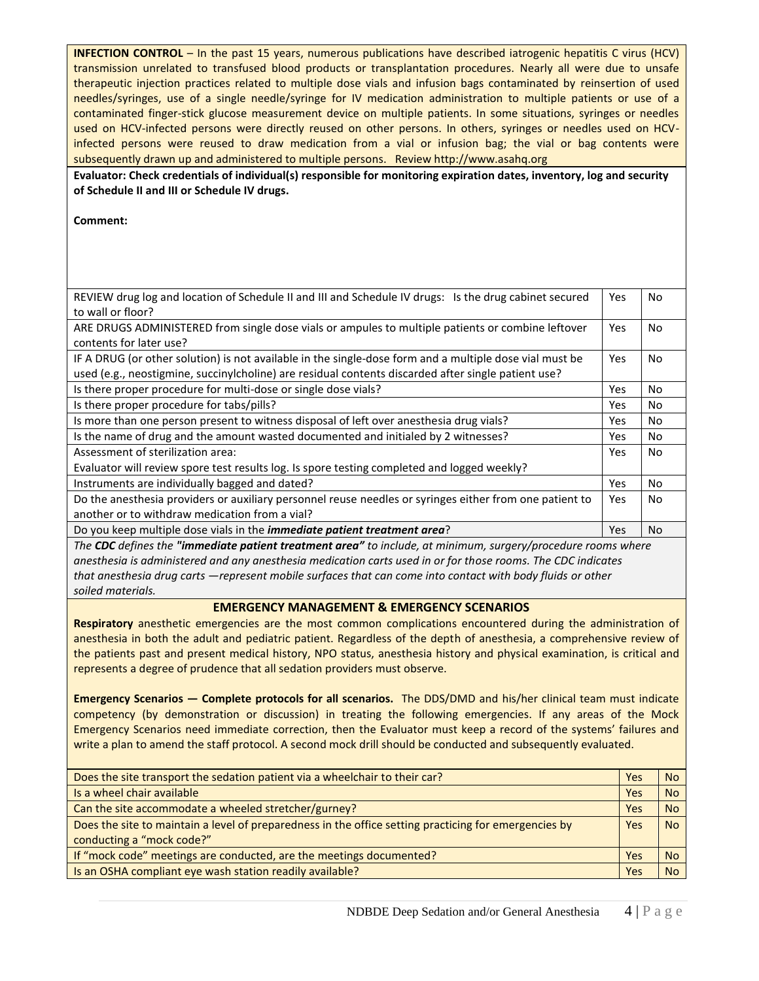**INFECTION CONTROL** – In the past 15 years, numerous publications have described iatrogenic hepatitis C virus (HCV) transmission unrelated to transfused blood products or transplantation procedures. Nearly all were due to unsafe therapeutic injection practices related to multiple dose vials and infusion bags contaminated by reinsertion of used needles/syringes, use of a single needle/syringe for IV medication administration to multiple patients or use of a contaminated finger-stick glucose measurement device on multiple patients. In some situations, syringes or needles used on HCV-infected persons were directly reused on other persons. In others, syringes or needles used on HCVinfected persons were reused to draw medication from a vial or infusion bag; the vial or bag contents were subsequently drawn up and administered to multiple persons. Review http://www.asahq.org

**Evaluator: Check credentials of individual(s) responsible for monitoring expiration dates, inventory, log and security of Schedule II and III or Schedule IV drugs.** 

**Comment:** 

| REVIEW drug log and location of Schedule II and III and Schedule IV drugs: Is the drug cabinet secured  | Yes        | No        |
|---------------------------------------------------------------------------------------------------------|------------|-----------|
| to wall or floor?                                                                                       |            |           |
| ARE DRUGS ADMINISTERED from single dose vials or ampules to multiple patients or combine leftover       | <b>Yes</b> | No.       |
| contents for later use?                                                                                 |            |           |
| IF A DRUG (or other solution) is not available in the single-dose form and a multiple dose vial must be | Yes        | No        |
| used (e.g., neostigmine, succinylcholine) are residual contents discarded after single patient use?     |            |           |
| Is there proper procedure for multi-dose or single dose vials?                                          | Yes        | No        |
| Is there proper procedure for tabs/pills?                                                               | <b>Yes</b> | <b>No</b> |
| Is more than one person present to witness disposal of left over anesthesia drug vials?                 | Yes        | No        |
| Is the name of drug and the amount wasted documented and initialed by 2 witnesses?                      | Yes        | No        |
| Assessment of sterilization area:                                                                       | <b>Yes</b> | <b>No</b> |
| Evaluator will review spore test results log. Is spore testing completed and logged weekly?             |            |           |
| Instruments are individually bagged and dated?                                                          | Yes        | No        |
| Do the anesthesia providers or auxiliary personnel reuse needles or syringes either from one patient to | <b>Yes</b> | No.       |
| another or to withdraw medication from a vial?                                                          |            |           |
| Do you keep multiple dose vials in the <i>immediate patient treatment area</i> ?                        | <b>Yes</b> | No        |

*The CDC defines the "immediate patient treatment area" to include, at minimum, surgery/procedure rooms where anesthesia is administered and any anesthesia medication carts used in or for those rooms. The CDC indicates that anesthesia drug carts ―represent mobile surfaces that can come into contact with body fluids or other soiled materials.*

#### **EMERGENCY MANAGEMENT & EMERGENCY SCENARIOS**

**Respiratory** anesthetic emergencies are the most common complications encountered during the administration of anesthesia in both the adult and pediatric patient. Regardless of the depth of anesthesia, a comprehensive review of the patients past and present medical history, NPO status, anesthesia history and physical examination, is critical and represents a degree of prudence that all sedation providers must observe.

**Emergency Scenarios ― Complete protocols for all scenarios.** The DDS/DMD and his/her clinical team must indicate competency (by demonstration or discussion) in treating the following emergencies. If any areas of the Mock Emergency Scenarios need immediate correction, then the Evaluator must keep a record of the systems' failures and write a plan to amend the staff protocol. A second mock drill should be conducted and subsequently evaluated.

| Does the site transport the sedation patient via a wheelchair to their car?                           | Yes | No.       |
|-------------------------------------------------------------------------------------------------------|-----|-----------|
| Is a wheel chair available                                                                            | Yes | <b>No</b> |
| Can the site accommodate a wheeled stretcher/gurney?                                                  | Yes | <b>No</b> |
| Does the site to maintain a level of preparedness in the office setting practicing for emergencies by |     | <b>No</b> |
| conducting a "mock code?"                                                                             |     |           |
| If "mock code" meetings are conducted, are the meetings documented?                                   | Yes | No.       |
| Is an OSHA compliant eye wash station readily available?                                              | Yes | <b>No</b> |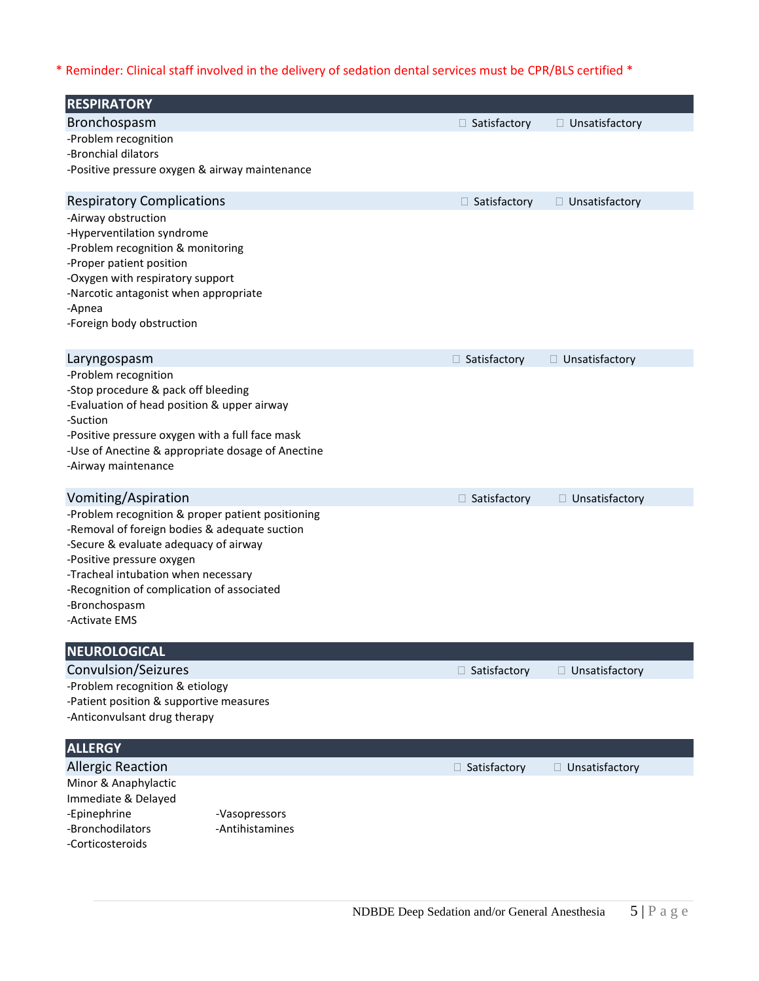\* Reminder: Clinical staff involved in the delivery of sedation dental services must be CPR/BLS certified \*

| <b>RESPIRATORY</b>                                                                     |                     |                  |
|----------------------------------------------------------------------------------------|---------------------|------------------|
| Bronchospasm                                                                           | □ Satisfactory      | □ Unsatisfactory |
| -Problem recognition                                                                   |                     |                  |
| -Bronchial dilators                                                                    |                     |                  |
| -Positive pressure oxygen & airway maintenance                                         |                     |                  |
| <b>Respiratory Complications</b>                                                       | □ Satisfactory      | □ Unsatisfactory |
| -Airway obstruction                                                                    |                     |                  |
| -Hyperventilation syndrome<br>-Problem recognition & monitoring                        |                     |                  |
| -Proper patient position                                                               |                     |                  |
| -Oxygen with respiratory support                                                       |                     |                  |
| -Narcotic antagonist when appropriate                                                  |                     |                  |
| -Apnea<br>-Foreign body obstruction                                                    |                     |                  |
|                                                                                        |                     |                  |
| Laryngospasm                                                                           | □ Satisfactory      | □ Unsatisfactory |
| -Problem recognition<br>-Stop procedure & pack off bleeding                            |                     |                  |
| -Evaluation of head position & upper airway                                            |                     |                  |
| -Suction                                                                               |                     |                  |
| -Positive pressure oxygen with a full face mask                                        |                     |                  |
| -Use of Anectine & appropriate dosage of Anectine<br>-Airway maintenance               |                     |                  |
|                                                                                        |                     |                  |
| Vomiting/Aspiration                                                                    | $\Box$ Satisfactory | □ Unsatisfactory |
| -Problem recognition & proper patient positioning                                      |                     |                  |
| -Removal of foreign bodies & adequate suction<br>-Secure & evaluate adequacy of airway |                     |                  |
| -Positive pressure oxygen                                                              |                     |                  |
| -Tracheal intubation when necessary                                                    |                     |                  |
| -Recognition of complication of associated                                             |                     |                  |
| -Bronchospasm<br>-Activate EMS                                                         |                     |                  |
|                                                                                        |                     |                  |
| <b>NEUROLOGICAL</b>                                                                    |                     |                  |
| Convulsion/Seizures                                                                    | $\Box$ Satisfactory | □ Unsatisfactory |
| -Problem recognition & etiology<br>-Patient position & supportive measures             |                     |                  |
| -Anticonvulsant drug therapy                                                           |                     |                  |
|                                                                                        |                     |                  |
| <b>ALLERGY</b>                                                                         |                     |                  |
| <b>Allergic Reaction</b>                                                               | $\Box$ Satisfactory | □ Unsatisfactory |
| Minor & Anaphylactic<br>Immediate & Delayed                                            |                     |                  |
| -Epinephrine<br>-Vasopressors                                                          |                     |                  |
| -Bronchodilators<br>-Antihistamines                                                    |                     |                  |
| -Corticosteroids                                                                       |                     |                  |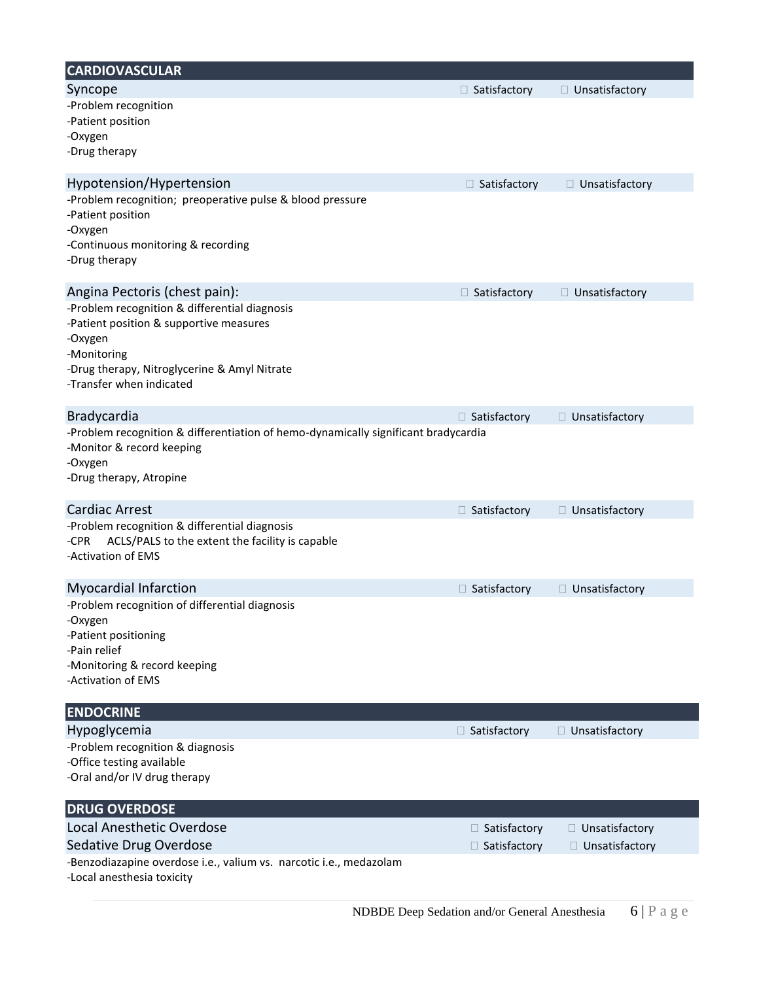| <b>CARDIOVASCULAR</b>                                                                                                                                                                          |                     |                  |
|------------------------------------------------------------------------------------------------------------------------------------------------------------------------------------------------|---------------------|------------------|
| Syncope                                                                                                                                                                                        | □ Satisfactory      | □ Unsatisfactory |
| -Problem recognition<br>-Patient position<br>-Oxygen<br>-Drug therapy                                                                                                                          |                     |                  |
| Hypotension/Hypertension                                                                                                                                                                       | $\Box$ Satisfactory | □ Unsatisfactory |
| -Problem recognition; preoperative pulse & blood pressure<br>-Patient position<br>-Oxygen<br>-Continuous monitoring & recording<br>-Drug therapy                                               |                     |                  |
| Angina Pectoris (chest pain):                                                                                                                                                                  | $\Box$ Satisfactory | □ Unsatisfactory |
| -Problem recognition & differential diagnosis<br>-Patient position & supportive measures<br>-Oxygen<br>-Monitoring<br>-Drug therapy, Nitroglycerine & Amyl Nitrate<br>-Transfer when indicated |                     |                  |
| Bradycardia                                                                                                                                                                                    | $\Box$ Satisfactory | □ Unsatisfactory |
| -Problem recognition & differentiation of hemo-dynamically significant bradycardia<br>-Monitor & record keeping<br>-Oxygen<br>-Drug therapy, Atropine                                          |                     |                  |
| <b>Cardiac Arrest</b>                                                                                                                                                                          | $\Box$ Satisfactory | □ Unsatisfactory |
| -Problem recognition & differential diagnosis<br>ACLS/PALS to the extent the facility is capable<br>-CPR<br>-Activation of EMS                                                                 |                     |                  |
| <b>Myocardial Infarction</b>                                                                                                                                                                   | $\Box$ Satisfactory | □ Unsatisfactory |
| -Problem recognition of differential diagnosis<br>-Oxygen<br>-Patient positioning<br>-Pain relief<br>-Monitoring & record keeping<br>-Activation of EMS                                        |                     |                  |
| <b>ENDOCRINE</b>                                                                                                                                                                               |                     |                  |
| Hypoglycemia<br>-Problem recognition & diagnosis<br>-Office testing available<br>-Oral and/or IV drug therapy                                                                                  | $\Box$ Satisfactory | □ Unsatisfactory |
| <b>DRUG OVERDOSE</b>                                                                                                                                                                           |                     |                  |
| Local Anesthetic Overdose                                                                                                                                                                      | $\Box$ Satisfactory | □ Unsatisfactory |
| Sedative Drug Overdose                                                                                                                                                                         | □ Satisfactory      | □ Unsatisfactory |
| -Benzodiazapine overdose i.e., valium vs. narcotic i.e., medazolam<br>-Local anesthesia toxicity                                                                                               |                     |                  |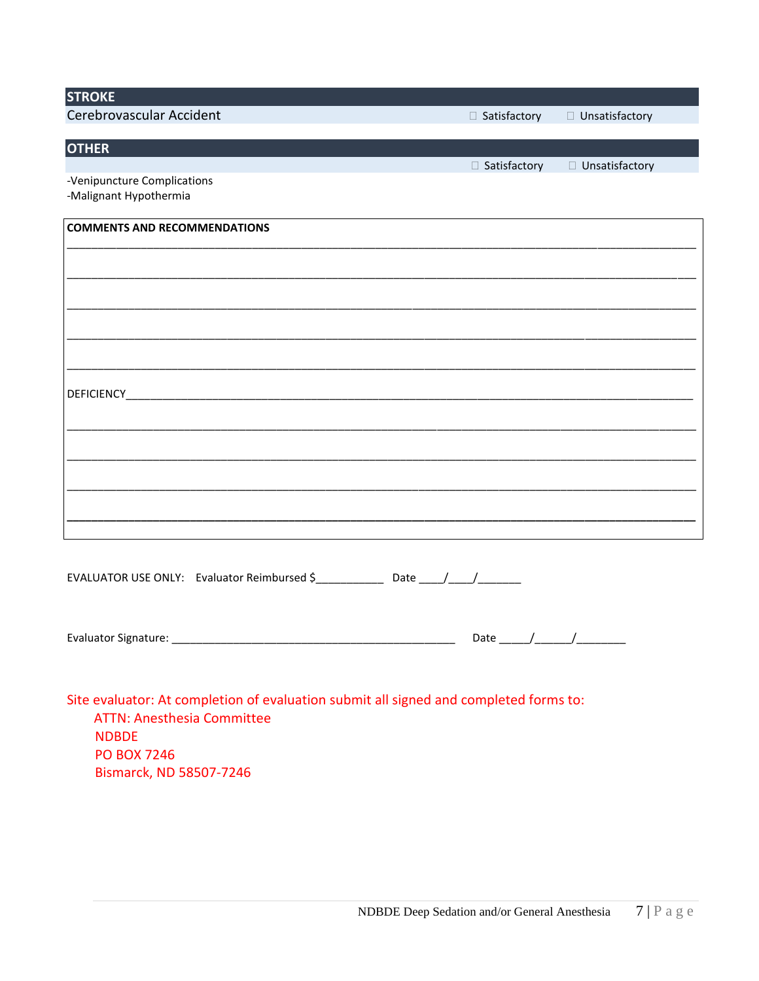| <b>STROKE</b>                                                                                                              |                     |                  |
|----------------------------------------------------------------------------------------------------------------------------|---------------------|------------------|
| Cerebrovascular Accident                                                                                                   | □ Satisfactory      | □ Unsatisfactory |
| <b>OTHER</b>                                                                                                               |                     |                  |
|                                                                                                                            | $\Box$ Satisfactory | □ Unsatisfactory |
| -Venipuncture Complications<br>-Malignant Hypothermia                                                                      |                     |                  |
| <b>COMMENTS AND RECOMMENDATIONS</b>                                                                                        |                     |                  |
|                                                                                                                            |                     |                  |
|                                                                                                                            |                     |                  |
|                                                                                                                            |                     |                  |
|                                                                                                                            |                     |                  |
|                                                                                                                            |                     |                  |
|                                                                                                                            |                     |                  |
|                                                                                                                            |                     |                  |
|                                                                                                                            |                     |                  |
|                                                                                                                            |                     |                  |
|                                                                                                                            |                     |                  |
|                                                                                                                            |                     |                  |
|                                                                                                                            |                     |                  |
|                                                                                                                            |                     |                  |
|                                                                                                                            |                     |                  |
|                                                                                                                            |                     |                  |
| EVALUATOR USE ONLY: Evaluator Reimbursed \$ ______________ Date _____/_____/                                               |                     |                  |
|                                                                                                                            |                     |                  |
|                                                                                                                            |                     |                  |
|                                                                                                                            |                     |                  |
|                                                                                                                            |                     |                  |
|                                                                                                                            |                     |                  |
| Site evaluator: At completion of evaluation submit all signed and completed forms to:<br><b>ATTN: Anesthesia Committee</b> |                     |                  |
| <b>NDBDE</b>                                                                                                               |                     |                  |
| <b>PO BOX 7246</b>                                                                                                         |                     |                  |

Bismarck, ND 58507-7246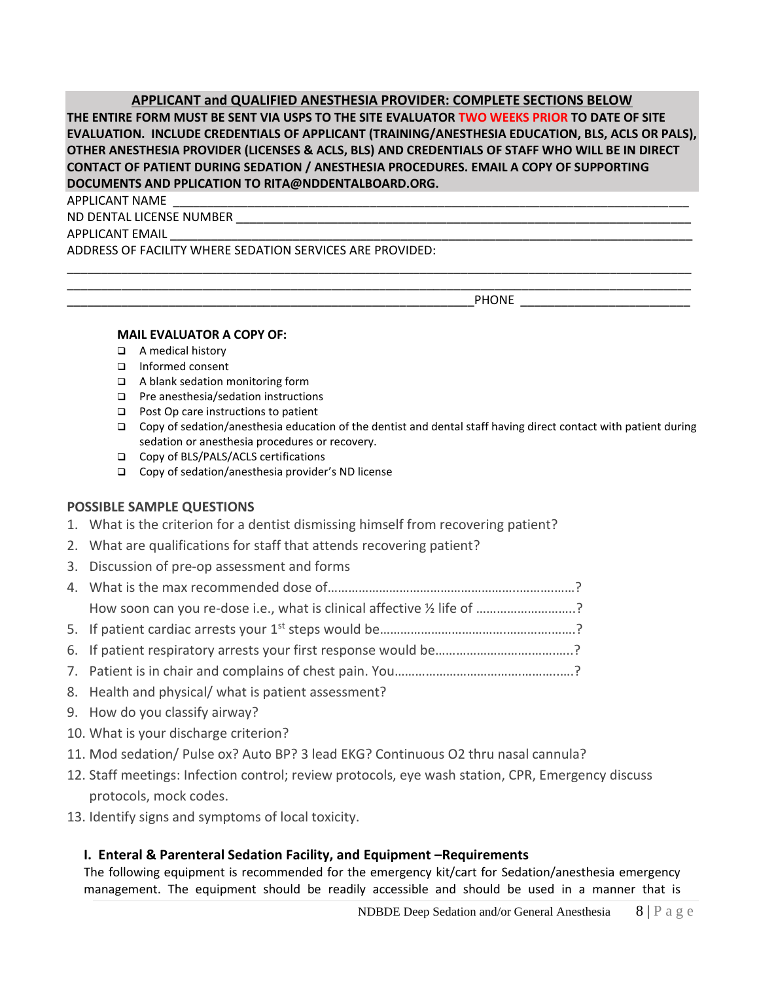## **APPLICANT and QUALIFIED ANESTHESIA PROVIDER: COMPLETE SECTIONS BELOW**

**THE ENTIRE FORM MUST BE SENT VIA USPS TO THE SITE EVALUATOR TWO WEEKS PRIOR TO DATE OF SITE EVALUATION. INCLUDE CREDENTIALS OF APPLICANT (TRAINING/ANESTHESIA EDUCATION, BLS, ACLS OR PALS), OTHER ANESTHESIA PROVIDER (LICENSES & ACLS, BLS) AND CREDENTIALS OF STAFF WHO WILL BE IN DIRECT CONTACT OF PATIENT DURING SEDATION / ANESTHESIA PROCEDURES. EMAIL A COPY OF SUPPORTING DOCUMENTS AND PPLICATION TO RITA@NDDENTALBOARD.ORG.**

\_\_\_\_\_\_\_\_\_\_\_\_\_\_\_\_\_\_\_\_\_\_\_\_\_\_\_\_\_\_\_\_\_\_\_\_\_\_\_\_\_\_\_\_\_\_\_\_\_\_\_\_\_\_\_\_\_\_\_\_\_\_\_\_\_\_\_\_\_\_\_\_\_\_\_\_\_\_\_\_\_\_\_\_\_\_\_\_\_\_\_\_ \_\_\_\_\_\_\_\_\_\_\_\_\_\_\_\_\_\_\_\_\_\_\_\_\_\_\_\_\_\_\_\_\_\_\_\_\_\_\_\_\_\_\_\_\_\_\_\_\_\_\_\_\_\_\_\_\_\_\_\_\_\_\_\_\_\_\_\_\_\_\_\_\_\_\_\_\_\_\_\_\_\_\_\_\_\_\_\_\_\_\_\_

APPLICANT NAME \_\_\_\_\_\_\_\_\_\_\_\_\_\_\_\_\_\_\_\_\_\_\_\_\_\_\_\_\_\_\_\_\_\_\_\_\_\_\_\_\_\_\_\_\_\_\_\_\_\_\_\_\_\_\_\_\_\_\_\_\_\_\_\_\_\_\_\_\_\_\_\_\_\_\_\_

ND DENTAL LICENSE NUMBER

APPLICANT EMAIL

ADDRESS OF FACILITY WHERE SEDATION SERVICES ARE PROVIDED:

PHONE **EXECUTE** 

#### **MAIL EVALUATOR A COPY OF:**

- ❑ A medical history
- ❑ Informed consent
- ❑ A blank sedation monitoring form
- ❑ Pre anesthesia/sedation instructions
- ❑ Post Op care instructions to patient
- ❑ Copy of sedation/anesthesia education of the dentist and dental staff having direct contact with patient during sedation or anesthesia procedures or recovery.
- ❑ Copy of BLS/PALS/ACLS certifications
- ❑ Copy of sedation/anesthesia provider's ND license

## **POSSIBLE SAMPLE QUESTIONS**

- 1. What is the criterion for a dentist dismissing himself from recovering patient?
- 2. What are qualifications for staff that attends recovering patient?
- 3. Discussion of pre-op assessment and forms
- 4. What is the max recommended dose of………………………………………………..……….……? How soon can you re-dose i.e., what is clinical affective  $\frac{1}{2}$  life of .........................?
- 5. If patient cardiac arrests your 1<sup>st</sup> steps would be……………………………………………………………………?
- 6. If patient respiratory arrests your first response would be……………………….…….…..?
- 7. Patient is in chair and complains of chest pain. You……………………………….………..….?
- 8. Health and physical/ what is patient assessment?
- 9. How do you classify airway?
- 10. What is your discharge criterion?
- 11. Mod sedation/ Pulse ox? Auto BP? 3 lead EKG? Continuous O2 thru nasal cannula?
- 12. Staff meetings: Infection control; review protocols, eye wash station, CPR, Emergency discuss protocols, mock codes.
- 13. Identify signs and symptoms of local toxicity.

## **I. Enteral & Parenteral Sedation Facility, and Equipment –Requirements**

The following equipment is recommended for the emergency kit/cart for Sedation/anesthesia emergency management. The equipment should be readily accessible and should be used in a manner that is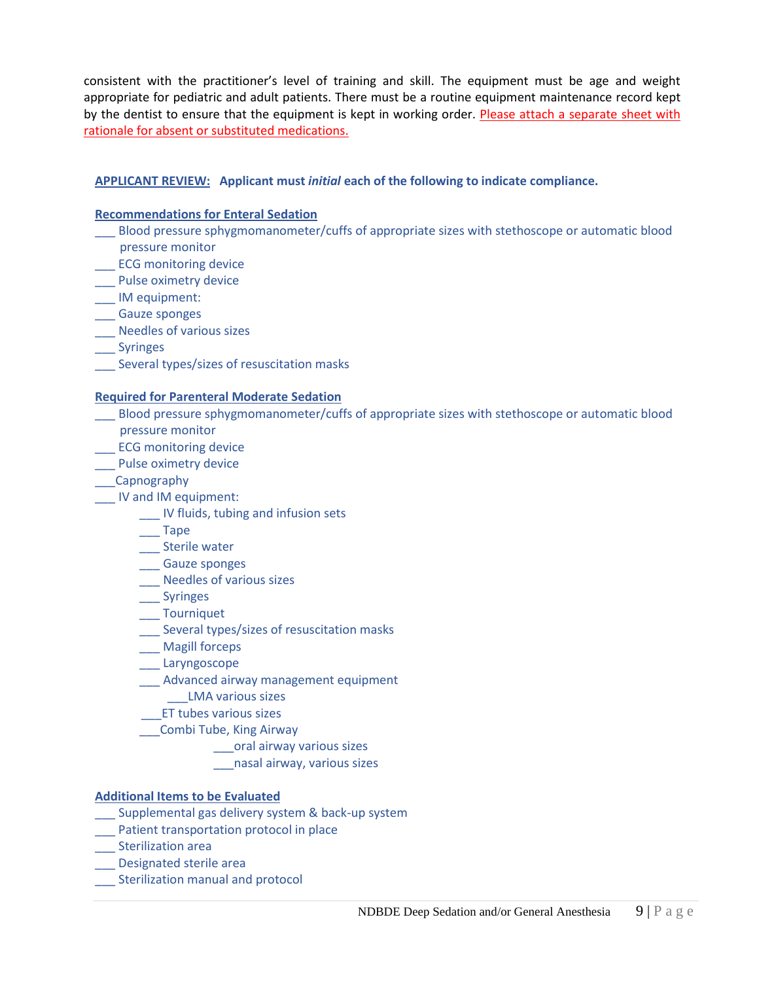consistent with the practitioner's level of training and skill. The equipment must be age and weight appropriate for pediatric and adult patients. There must be a routine equipment maintenance record kept by the dentist to ensure that the equipment is kept in working order. Please attach a separate sheet with rationale for absent or substituted medications.

## **APPLICANT REVIEW: Applicant must** *initial* **each of the following to indicate compliance.**

#### **Recommendations for Enteral Sedation**

- \_\_\_ Blood pressure sphygmomanometer/cuffs of appropriate sizes with stethoscope or automatic blood pressure monitor
- Lacker ECG monitoring device
- Pulse oximetry device
- \_\_\_ IM equipment:
- \_\_\_ Gauze sponges
- \_\_\_ Needles of various sizes
- **Syringes**
- \_\_\_ Several types/sizes of resuscitation masks

#### **Required for Parenteral Moderate Sedation**

- \_\_\_ Blood pressure sphygmomanometer/cuffs of appropriate sizes with stethoscope or automatic blood pressure monitor
- **LECG** monitoring device
- \_\_\_ Pulse oximetry device
- \_\_\_Capnography
- \_\_\_ IV and IM equipment:
	- \_\_\_ IV fluids, tubing and infusion sets
	- \_\_\_ Tape
	- \_\_\_ Sterile water
	- \_\_\_ Gauze sponges
	- \_\_\_ Needles of various sizes
	- \_\_\_ Syringes
	- \_\_\_ Tourniquet
	- \_\_\_ Several types/sizes of resuscitation masks
	- \_\_\_ Magill forceps
	- \_\_\_ Laryngoscope
	- \_\_\_ Advanced airway management equipment
		- \_\_\_LMA various sizes
		- \_\_\_ET tubes various sizes
	- \_\_\_Combi Tube, King Airway
		- \_\_\_oral airway various sizes
		- \_\_\_nasal airway, various sizes

## **Additional Items to be Evaluated**

- Supplemental gas delivery system & back-up system
- \_\_\_ Patient transportation protocol in place
- \_\_\_ Sterilization area
- \_\_\_ Designated sterile area
- \_\_\_ Sterilization manual and protocol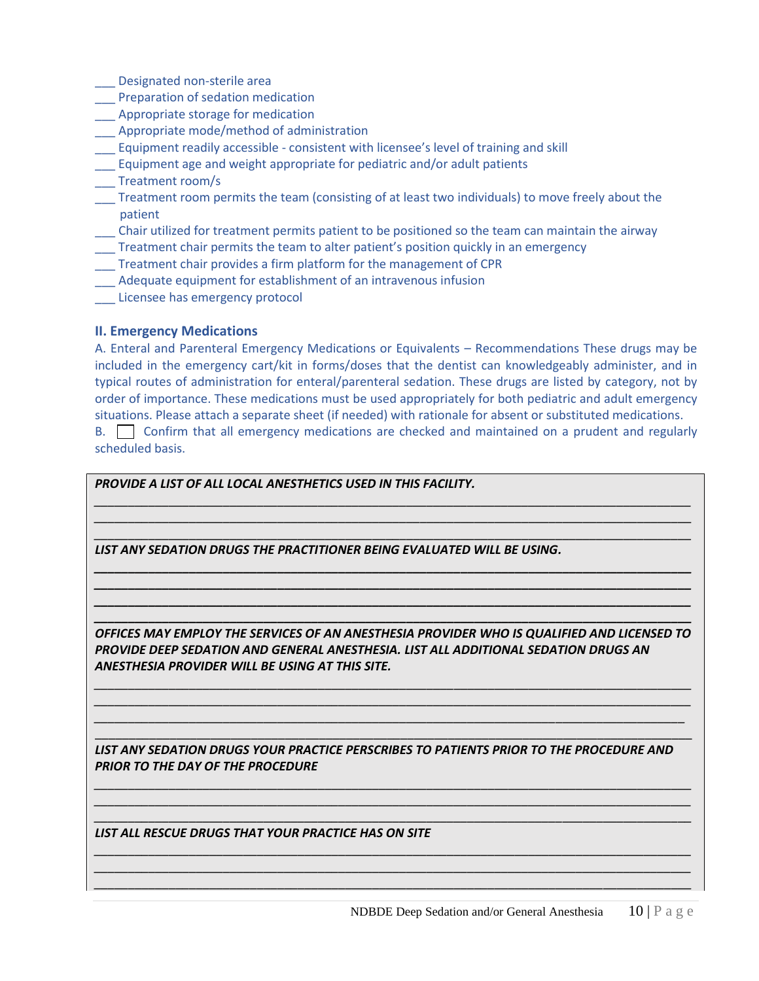- \_\_\_ Designated non-sterile area
- \_\_\_ Preparation of sedation medication
- \_\_\_ Appropriate storage for medication
- \_\_\_ Appropriate mode/method of administration
- \_\_\_ Equipment readily accessible consistent with licensee's level of training and skill
- \_\_\_ Equipment age and weight appropriate for pediatric and/or adult patients
- \_\_\_ Treatment room/s
- Treatment room permits the team (consisting of at least two individuals) to move freely about the patient
- \_\_\_ Chair utilized for treatment permits patient to be positioned so the team can maintain the airway
- \_\_\_ Treatment chair permits the team to alter patient's position quickly in an emergency
- \_\_\_ Treatment chair provides a firm platform for the management of CPR
- \_\_\_ Adequate equipment for establishment of an intravenous infusion
- \_\_\_ Licensee has emergency protocol

## **II. Emergency Medications**

A. Enteral and Parenteral Emergency Medications or Equivalents – Recommendations These drugs may be included in the emergency cart/kit in forms/doses that the dentist can knowledgeably administer, and in typical routes of administration for enteral/parenteral sedation. These drugs are listed by category, not by order of importance. These medications must be used appropriately for both pediatric and adult emergency situations. Please attach a separate sheet (if needed) with rationale for absent or substituted medications.

B. Confirm that all emergency medications are checked and maintained on a prudent and regularly scheduled basis.



*\_\_\_\_\_\_\_\_\_\_\_\_\_\_\_\_\_\_\_\_\_\_\_\_\_\_\_\_\_\_\_\_\_\_\_\_\_\_\_\_\_\_\_\_\_\_\_\_\_\_\_\_\_\_\_\_\_\_\_\_\_\_\_\_\_\_\_\_\_\_\_\_\_\_\_\_\_\_\_\_\_\_\_\_\_\_\_\_ \_\_\_\_\_\_\_\_\_\_\_\_\_\_\_\_\_\_\_\_\_\_\_\_\_\_\_\_\_\_\_\_\_\_\_\_\_\_\_\_\_\_\_\_\_\_\_\_\_\_\_\_\_\_\_\_\_\_\_\_\_\_\_\_\_\_\_\_\_\_\_\_\_\_\_\_\_\_\_\_\_\_\_\_\_\_\_\_ \_\_\_\_\_\_\_\_\_\_\_\_\_\_\_\_\_\_\_\_\_\_\_\_\_\_\_\_\_\_\_\_\_\_\_\_\_\_\_\_\_\_\_\_\_\_\_\_\_\_\_\_\_\_\_\_\_\_\_\_\_\_\_\_\_\_\_\_\_\_\_\_\_\_\_\_\_\_\_\_\_\_\_\_\_\_\_\_*

*LIST ALL RESCUE DRUGS THAT YOUR PRACTICE HAS ON SITE*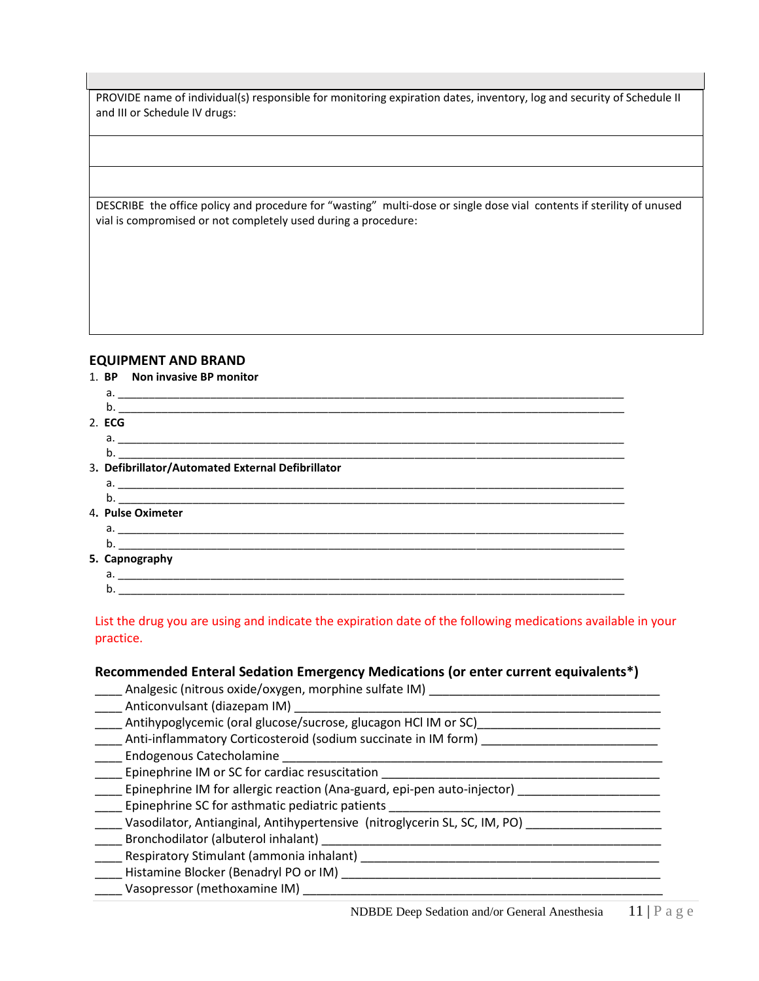PROVIDE name of individual(s) responsible for monitoring expiration dates, inventory, log and security of Schedule II and III or Schedule IV drugs:

DESCRIBE the office policy and procedure for "wasting" multi-dose or single dose vial contents if sterility of unused vial is compromised or not completely used during a procedure:

#### **EQUIPMENT AND BRAND**

|        | 1. BP Non invasive BP monitor                     |
|--------|---------------------------------------------------|
|        |                                                   |
|        |                                                   |
| 2. ECG |                                                   |
|        |                                                   |
| b.     |                                                   |
|        | 3. Defibrillator/Automated External Defibrillator |
|        | $a.$ $\overline{\phantom{a}}$                     |
|        |                                                   |
|        | 4. Pulse Oximeter                                 |
|        |                                                   |
| b.     |                                                   |
|        | 5. Capnography                                    |
|        |                                                   |
| b.     |                                                   |

List the drug you are using and indicate the expiration date of the following medications available in your practice.

#### **Recommended Enteral Sedation Emergency Medications (or enter current equivalents\*)**

\_\_\_\_ Analgesic (nitrous oxide/oxygen, morphine sulfate IM) \_\_\_\_\_\_\_\_\_\_\_\_\_\_\_\_\_\_\_\_\_\_\_\_\_\_\_\_\_\_\_\_\_\_

- \_\_\_\_\_ Anticonvulsant (diazepam IM) \_\_\_\_
- Antihypoglycemic (oral glucose/sucrose, glucagon HCl IM or SC)
- \_\_\_\_ Anti-inflammatory Corticosteroid (sodium succinate in IM form) \_\_\_\_\_\_\_\_\_\_\_\_\_\_\_\_\_\_\_\_\_\_\_\_\_\_
- \_\_\_\_ Endogenous Catecholamine \_\_\_\_\_\_\_\_\_\_\_\_\_\_\_\_\_\_\_\_\_\_\_\_\_\_\_\_\_\_\_\_\_\_\_\_\_\_\_\_\_\_\_\_\_\_\_\_\_\_\_\_\_\_\_\_
- \_\_\_\_ Epinephrine IM or SC for cardiac resuscitation \_\_\_\_\_\_\_\_\_\_\_\_\_\_\_\_\_\_\_\_\_\_\_\_\_\_\_\_\_\_\_\_\_\_\_\_\_\_\_\_\_
- Lepinephrine IM for allergic reaction (Ana-guard, epi-pen auto-injector) [10001111111111111111111111111111111
- Epinephrine SC for asthmatic pediatric patients
- \_\_\_\_ Vasodilator, Antianginal, Antihypertensive (nitroglycerin SL, SC, IM, PO) \_\_\_\_\_\_\_\_\_\_\_\_\_\_\_\_\_\_\_\_
- \_\_\_\_ Bronchodilator (albuterol inhalant) \_\_\_\_\_\_\_\_\_\_\_\_\_\_\_\_\_\_\_\_\_\_\_\_\_\_\_\_\_\_\_\_\_\_\_\_\_\_\_\_\_\_\_\_\_\_\_\_\_\_
- \_\_\_\_ Respiratory Stimulant (ammonia inhalant) \_\_\_\_\_\_\_\_\_\_\_\_\_\_\_\_\_\_\_\_\_\_\_\_\_\_\_\_\_\_\_\_\_\_\_\_\_\_\_\_\_\_\_\_
- \_\_\_\_ Histamine Blocker (Benadryl PO or IM) \_\_\_\_\_\_\_\_\_\_\_\_\_\_\_\_\_\_\_\_\_\_\_\_\_\_\_\_\_\_\_\_\_\_\_\_\_\_\_\_\_\_\_\_\_\_\_
- \_\_\_\_ Vasopressor (methoxamine IM) \_\_\_\_\_\_\_\_\_\_\_\_\_\_\_\_\_\_\_\_\_\_\_\_\_\_\_\_\_\_\_\_\_\_\_\_\_\_\_\_\_\_\_\_\_\_\_\_\_\_\_\_\_